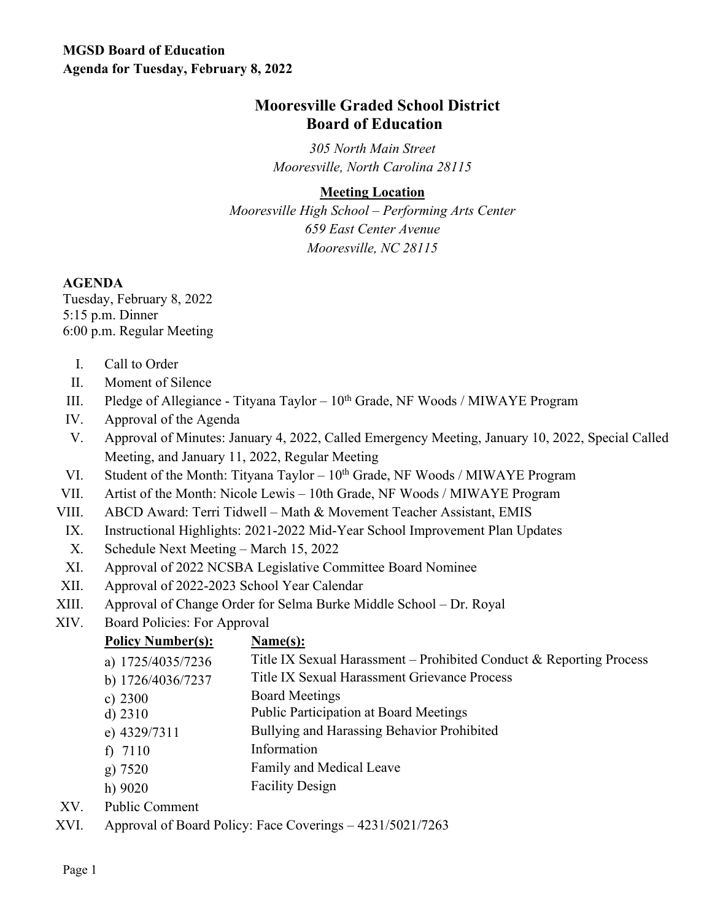## **Mooresville Graded School District Board of Education**

*305 North Main Street Mooresville, North Carolina 28115*

## **Meeting Location**

*Mooresville High School – Performing Arts Center 659 East Center Avenue Mooresville, NC 28115*

## **AGENDA**

Tuesday, February 8, 2022 5:15 p.m. Dinner 6:00 p.m. Regular Meeting

- I. Call to Order
- II. Moment of Silence
- III. Pledge of Allegiance Tityana Taylor  $10^{th}$  Grade, NF Woods / MIWAYE Program
- IV. Approval of the Agenda
- V. Approval of Minutes: January 4, 2022, Called Emergency Meeting, January 10, 2022, Special Called Meeting, and January 11, 2022, Regular Meeting
- VI. Student of the Month: Tityana Taylor  $10^{th}$  Grade, NF Woods / MIWAYE Program
- VII. Artist of the Month: Nicole Lewis 10th Grade, NF Woods / MIWAYE Program
- VIII. ABCD Award: Terri Tidwell Math & Movement Teacher Assistant, EMIS
- IX. Instructional Highlights: 2021-2022 Mid-Year School Improvement Plan Updates
- X. Schedule Next Meeting March 15, 2022
- XI. Approval of 2022 NCSBA Legislative Committee Board Nominee
- XII. Approval of 2022-2023 School Year Calendar
- XIII. Approval of Change Order for Selma Burke Middle School Dr. Royal
- XIV. Board Policies: For Approval

| <b>Policy Number(s):</b>                                                         | Name(s):                                                            |
|----------------------------------------------------------------------------------|---------------------------------------------------------------------|
| a) 1725/4035/7236                                                                | Title IX Sexual Harassment – Prohibited Conduct & Reporting Process |
| b) 1726/4036/7237                                                                | Title IX Sexual Harassment Grievance Process                        |
| c) $2300$                                                                        | <b>Board Meetings</b>                                               |
| $d)$ 2310                                                                        | <b>Public Participation at Board Meetings</b>                       |
| e) 4329/7311                                                                     | Bullying and Harassing Behavior Prohibited                          |
| f) $7110$                                                                        | Information                                                         |
| g) 7520                                                                          | Family and Medical Leave                                            |
| h) 9020                                                                          | <b>Facility Design</b>                                              |
| $\mathbf{D}$ and $\mathbf{D}$ and $\mathbf{D}$ and $\mathbf{D}$ and $\mathbf{D}$ |                                                                     |

- XV. Public Comment
- XVI. Approval of Board Policy: Face Coverings 4231/5021/7263